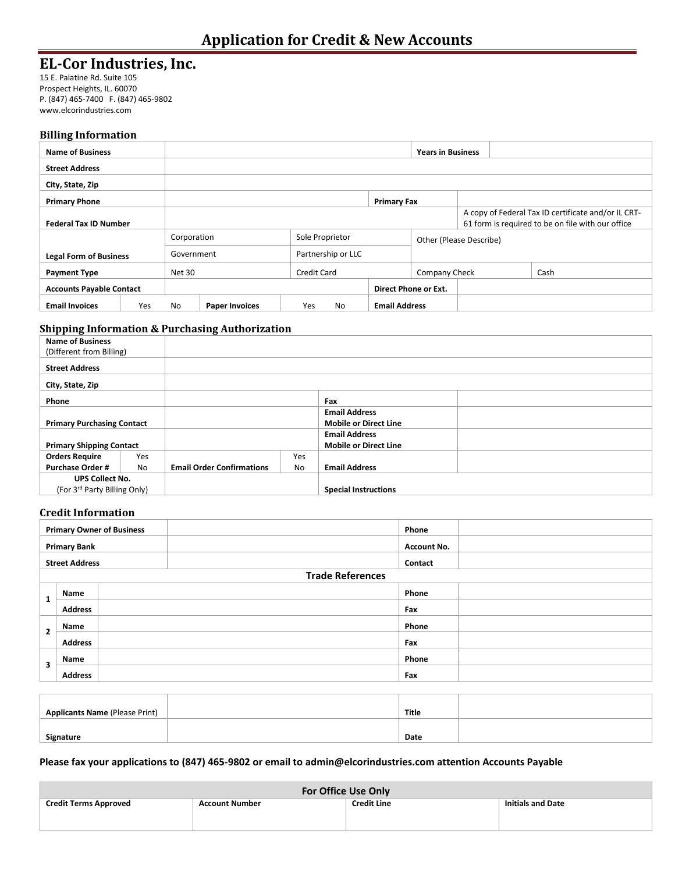# **EL-Cor Industries, Inc.**

15 E. Palatine Rd. Suite 105 Prospect Heights, IL. 60070 P. (847) 465-7400 F. (847) 465-9802 www.elcorindustries.com

#### **Billing Information**

| <b>Name of Business</b>         |     |                                  |                       |                    |    |                         | <b>Years in Business</b> |  |  |                                                                                                          |
|---------------------------------|-----|----------------------------------|-----------------------|--------------------|----|-------------------------|--------------------------|--|--|----------------------------------------------------------------------------------------------------------|
| <b>Street Address</b>           |     |                                  |                       |                    |    |                         |                          |  |  |                                                                                                          |
| City, State, Zip                |     |                                  |                       |                    |    |                         |                          |  |  |                                                                                                          |
| <b>Primary Phone</b>            |     | <b>Primary Fax</b>               |                       |                    |    |                         |                          |  |  |                                                                                                          |
| <b>Federal Tax ID Number</b>    |     |                                  |                       |                    |    |                         |                          |  |  | A copy of Federal Tax ID certificate and/or IL CRT-<br>61 form is required to be on file with our office |
|                                 |     | Corporation<br>Sole Proprietor   |                       |                    |    | Other (Please Describe) |                          |  |  |                                                                                                          |
| <b>Legal Form of Business</b>   |     | Partnership or LLC<br>Government |                       |                    |    |                         |                          |  |  |                                                                                                          |
| <b>Payment Type</b>             |     | Net 30                           |                       | <b>Credit Card</b> |    |                         | Company Check            |  |  | Cash                                                                                                     |
| <b>Accounts Payable Contact</b> |     |                                  |                       |                    |    |                         | Direct Phone or Ext.     |  |  |                                                                                                          |
| <b>Email Invoices</b>           | Yes | <b>No</b>                        | <b>Paper Invoices</b> | Yes                | No | <b>Email Address</b>    |                          |  |  |                                                                                                          |

### **Shipping Information & Purchasing Authorization**

| <b>Name of Business</b>           |                |                                  |     |                              |  |
|-----------------------------------|----------------|----------------------------------|-----|------------------------------|--|
| (Different from Billing)          |                |                                  |     |                              |  |
| <b>Street Address</b>             |                |                                  |     |                              |  |
| City, State, Zip                  |                |                                  |     |                              |  |
| Phone                             |                |                                  |     | Fax                          |  |
|                                   |                |                                  |     | <b>Email Address</b>         |  |
| <b>Primary Purchasing Contact</b> |                |                                  |     | <b>Mobile or Direct Line</b> |  |
|                                   |                |                                  |     | <b>Email Address</b>         |  |
| <b>Primary Shipping Contact</b>   |                |                                  |     | <b>Mobile or Direct Line</b> |  |
| <b>Orders Require</b>             | Yes            |                                  | Yes |                              |  |
| <b>Purchase Order #</b>           | N <sub>o</sub> | <b>Email Order Confirmations</b> | No  | <b>Email Address</b>         |  |
| <b>UPS Collect No.</b>            |                |                                  |     |                              |  |
| (For 3rd Party Billing Only)      |                |                                  |     | <b>Special Instructions</b>  |  |

## **Credit Information**

|                       |                | <b>Primary Owner of Business</b> | Phone                   |
|-----------------------|----------------|----------------------------------|-------------------------|
| <b>Primary Bank</b>   |                |                                  | <b>Account No.</b>      |
| <b>Street Address</b> |                |                                  | Contact                 |
|                       |                |                                  | <b>Trade References</b> |
|                       | Name           |                                  | Phone                   |
| л.                    | <b>Address</b> |                                  | Fax                     |
| $\mathbf{2}$          | Name           |                                  | Phone                   |
|                       | <b>Address</b> |                                  | Fax                     |
|                       | Name           |                                  | Phone                   |
| 3                     | <b>Address</b> |                                  | Fax                     |

| Applicants Name (Please Print) | Title |  |
|--------------------------------|-------|--|
|                                |       |  |
| Signature                      | Date  |  |

### **Please fax your applications to (847) 465-9802 or email to admin@elcorindustries.com attention Accounts Payable**

| For Office Use Only          |                       |                    |                          |  |  |
|------------------------------|-----------------------|--------------------|--------------------------|--|--|
| <b>Credit Terms Approved</b> | <b>Account Number</b> | <b>Credit Line</b> | <b>Initials and Date</b> |  |  |
|                              |                       |                    |                          |  |  |